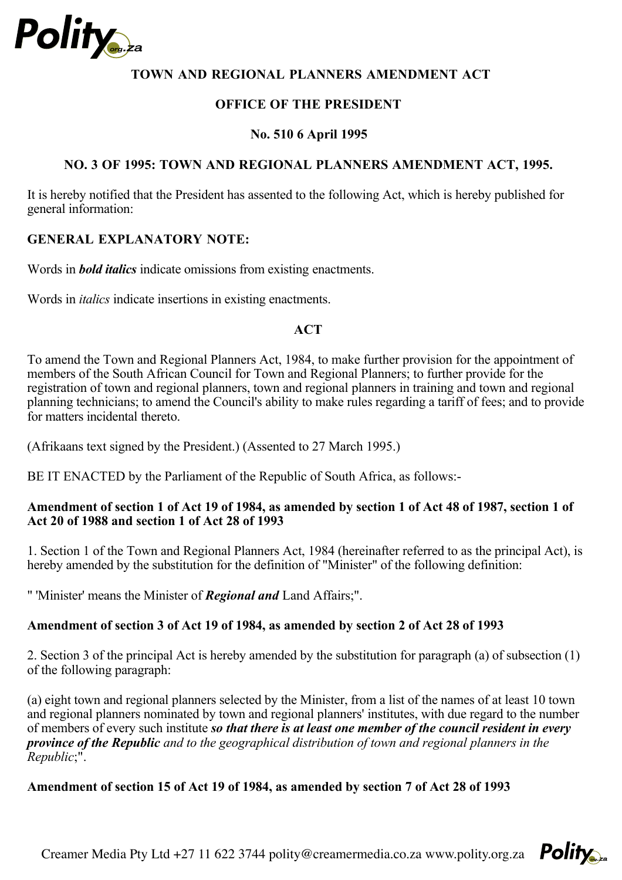

#### **TOWN AND REGIONAL PLANNERS AMENDMENT ACT**

#### **OFFICE OF THE PRESIDENT**

#### **No. 510 6 April 1995**

#### **NO. 3 OF 1995: TOWN AND REGIONAL PLANNERS AMENDMENT ACT, 1995.**

It is hereby notified that the President has assented to the following Act, which is hereby published for general information:

#### **GENERAL EXPLANATORY NOTE:**

Words in *bold italics* indicate omissions from existing enactments.

Words in *italics* indicate insertions in existing enactments.

#### **ACT**

To amend the Town and Regional Planners Act, 1984, to make further provision for the appointment of members of the South African Council for Town and Regional Planners; to further provide for the registration of town and regional planners, town and regional planners in training and town and regional planning technicians; to amend the Council's ability to make rules regarding a tariff of fees; and to provide for matters incidental thereto.

(Afrikaans text signed by the President.) (Assented to 27 March 1995.)

BE IT ENACTED by the Parliament of the Republic of South Africa, as follows:-

#### **Amendment of section 1 of Act 19 of 1984, as amended by section 1 of Act 48 of 1987, section 1 of Act 20 of 1988 and section 1 of Act 28 of 1993**

1. Section 1 of the Town and Regional Planners Act, 1984 (hereinafter referred to as the principal Act), is hereby amended by the substitution for the definition of "Minister" of the following definition:

" 'Minister' means the Minister of *Regional and* Land Affairs;".

# **Amendment of section 3 of Act 19 of 1984, as amended by section 2 of Act 28 of 1993**

2. Section 3 of the principal Act is hereby amended by the substitution for paragraph (a) of subsection (1) of the following paragraph:

(a) eight town and regional planners selected by the Minister, from a list of the names of at least 10 town and regional planners nominated by town and regional planners' institutes, with due regard to the number of members of every such institute *so that there is at least one member of the council resident in every*  ;". *Republic province of the Republic and to the geographical distribution of town and regional planners in the* 

# **Amendment of section 15 of Act 19 of 1984, as amended by section 7 of Act 28 of 1993**

Creamer Media Pty Ltd +27 11 622 3744 polity@creamermedia.co.za www.polity.org.za  $P_{\text{O}}$ 

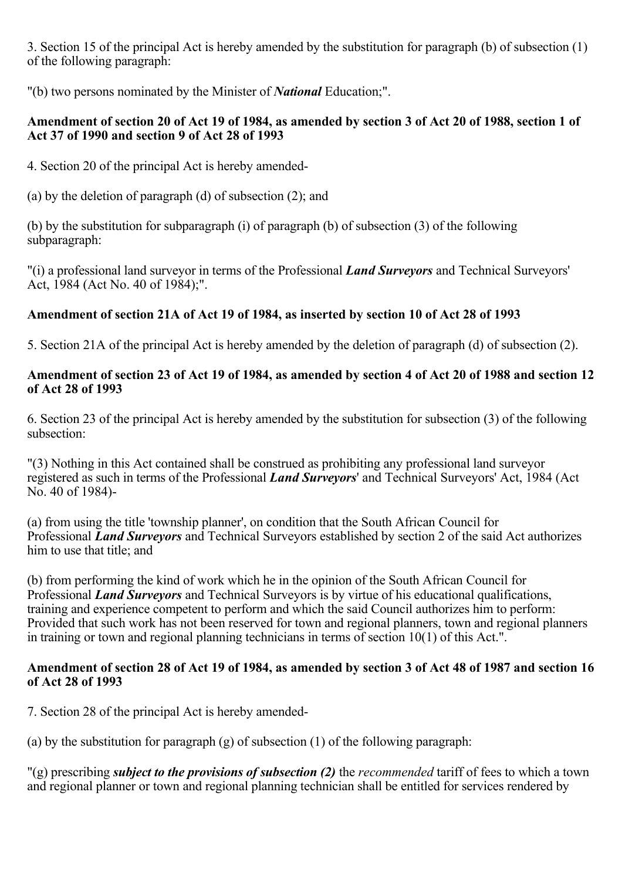3. Section 15 of the principal Act is hereby amended by the substitution for paragraph (b) of subsection (1) of the following paragraph:

"(b) two persons nominated by the Minister of *National* Education;".

# **Amendment of section 20 of Act 19 of 1984, as amended by section 3 of Act 20 of 1988, section 1 of Act 37 of 1990 and section 9 of Act 28 of 1993**

4. Section 20 of the principal Act is hereby amended-

(a) by the deletion of paragraph (d) of subsection (2); and

(b) by the substitution for subparagraph (i) of paragraph (b) of subsection (3) of the following subparagraph:

"(i) a professional land surveyor in terms of the Professional *Land Surveyors* and Technical Surveyors' Act, 1984 (Act No. 40 of 1984);".

# **Amendment of section 21A of Act 19 of 1984, as inserted by section 10 of Act 28 of 1993**

5. Section 21A of the principal Act is hereby amended by the deletion of paragraph (d) of subsection (2).

# **Amendment of section 23 of Act 19 of 1984, as amended by section 4 of Act 20 of 1988 and section 12 of Act 28 of 1993**

6. Section 23 of the principal Act is hereby amended by the substitution for subsection (3) of the following subsection:

"(3) Nothing in this Act contained shall be construed as prohibiting any professional land surveyor registered as such in terms of the Professional *Land Surveyors*' and Technical Surveyors' Act, 1984 (Act No. 40 of 1984)-

(a) from using the title 'township planner', on condition that the South African Council for Professional *Land Surveyors* and Technical Surveyors established by section 2 of the said Act authorizes him to use that title; and

(b) from performing the kind of work which he in the opinion of the South African Council for Professional *Land Surveyors* and Technical Surveyors is by virtue of his educational qualifications, training and experience competent to perform and which the said Council authorizes him to perform: Provided that such work has not been reserved for town and regional planners, town and regional planners in training or town and regional planning technicians in terms of section 10(1) of this Act.".

# **Amendment of section 28 of Act 19 of 1984, as amended by section 3 of Act 48 of 1987 and section 16 of Act 28 of 1993**

7. Section 28 of the principal Act is hereby amended-

(a) by the substitution for paragraph (g) of subsection (1) of the following paragraph:

"(g) prescribing *subject to the provisions of subsection (2)* the *recommended* tariff of fees to which a town and regional planner or town and regional planning technician shall be entitled for services rendered by